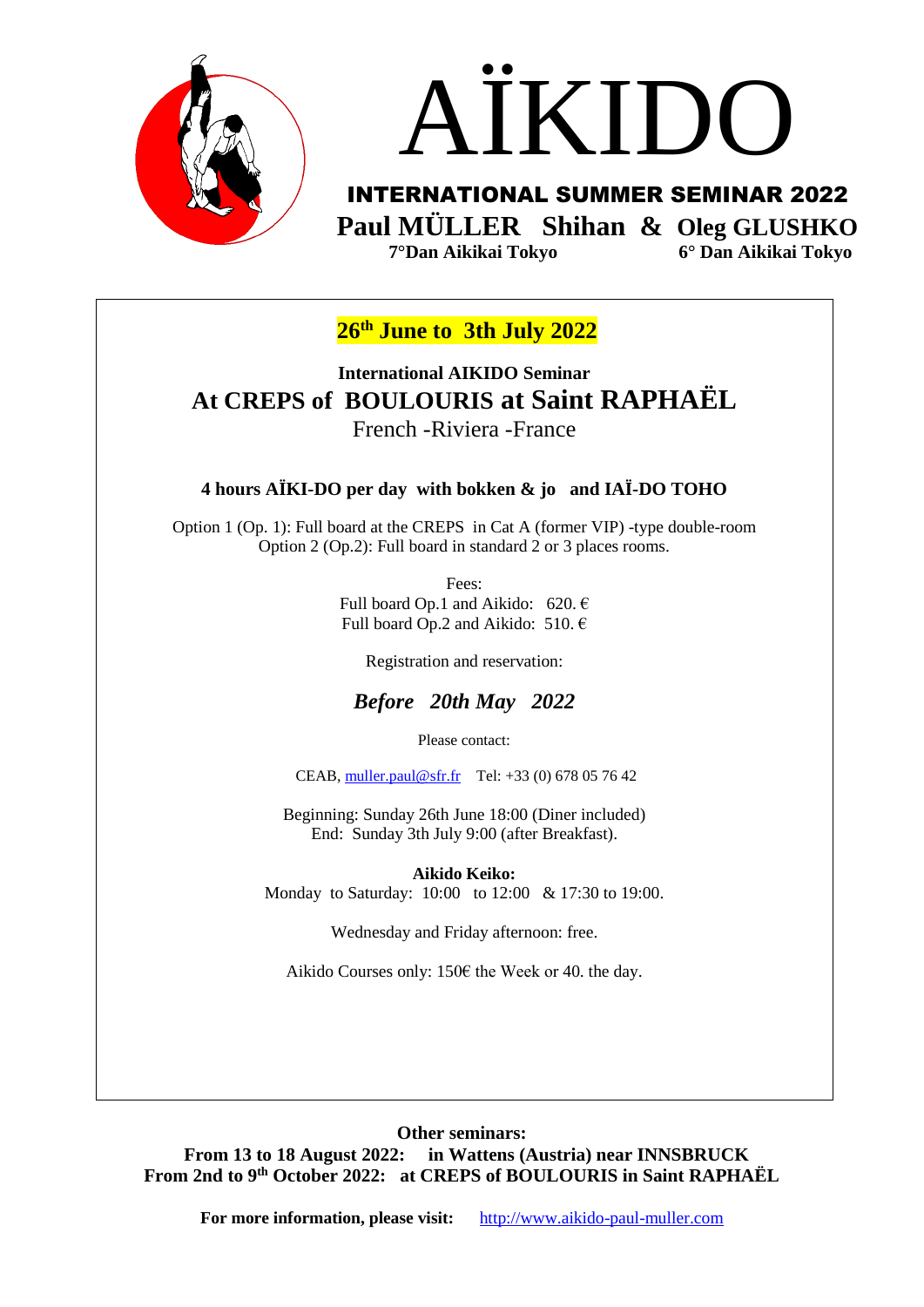



INTERNATIONAL SUMMER SEMINAR 2022 **Paul MÜLLER Shihan & Oleg GLUSHKO 7°Dan Aikikai Tokyo 6° Dan Aikikai Tokyo**

**26th June to 3th July 2022**

**International AIKIDO Seminar At CREPS of BOULOURIS at Saint RAPHAËL**  French -Riviera -France

## **4 hours AÏKI-DO per day with bokken & jo and IAÏ-DO TOHO**

Option 1 (Op. 1): Full board at the CREPS in Cat A (former VIP) -type double-room Option 2 (Op.2): Full board in standard 2 or 3 places rooms.

> Fees: Full board Op.1 and Aikido: 620.  $\epsilon$ Full board Op.2 and Aikido: 510.  $\in$

> > Registration and reservation:

## *Before 20th May 2022*

Please contact:

CEAB, [muller.paul@sfr.fr](mailto:muller.paul@sfr.fr) Tel: +33 (0) 678 05 76 42

Beginning: Sunday 26th June 18:00 (Diner included) End: Sunday 3th July 9:00 (after Breakfast).

**Aikido Keiko:** 

Monday to Saturday: 10:00 to 12:00 & 17:30 to 19:00.

Wednesday and Friday afternoon: free.

Aikido Courses only: 150€ the Week or 40. the day.

**Other seminars: From 13 to 18 August 2022: in Wattens (Austria) near INNSBRUCK From 2nd to 9th October 2022: at CREPS of BOULOURIS in Saint RAPHAËL** 

**For more information, please visit:** [http://www.aikido-paul-muller.com](http://www.aikido-paul-muller.com/)